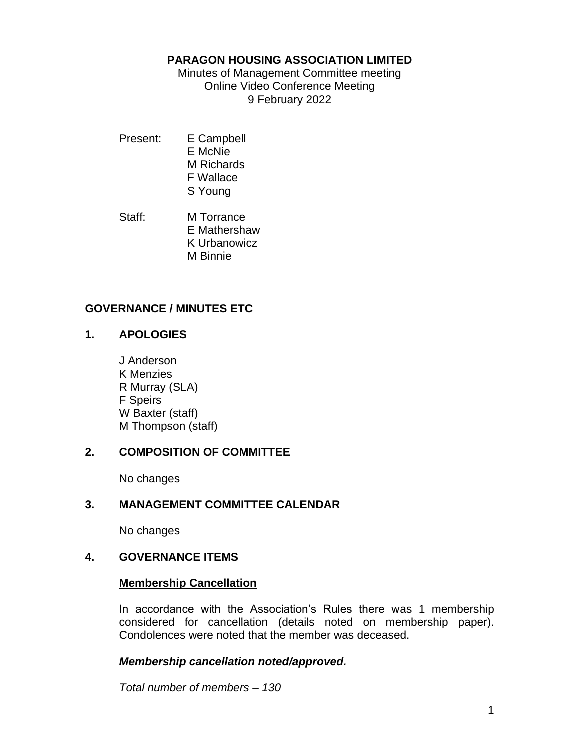#### **PARAGON HOUSING ASSOCIATION LIMITED**

Minutes of Management Committee meeting Online Video Conference Meeting 9 February 2022

- Present: E Campbell E McNie M Richards F Wallace S Young
- Staff: M Torrance E Mathershaw K Urbanowicz M Binnie

## **GOVERNANCE / MINUTES ETC**

## **1. APOLOGIES**

J Anderson K Menzies R Murray (SLA) F Speirs W Baxter (staff) M Thompson (staff)

## **2. COMPOSITION OF COMMITTEE**

No changes

## **3. MANAGEMENT COMMITTEE CALENDAR**

No changes

## **4. GOVERNANCE ITEMS**

## **Membership Cancellation**

In accordance with the Association's Rules there was 1 membership considered for cancellation (details noted on membership paper). Condolences were noted that the member was deceased.

## *Membership cancellation noted/approved.*

*Total number of members – 130*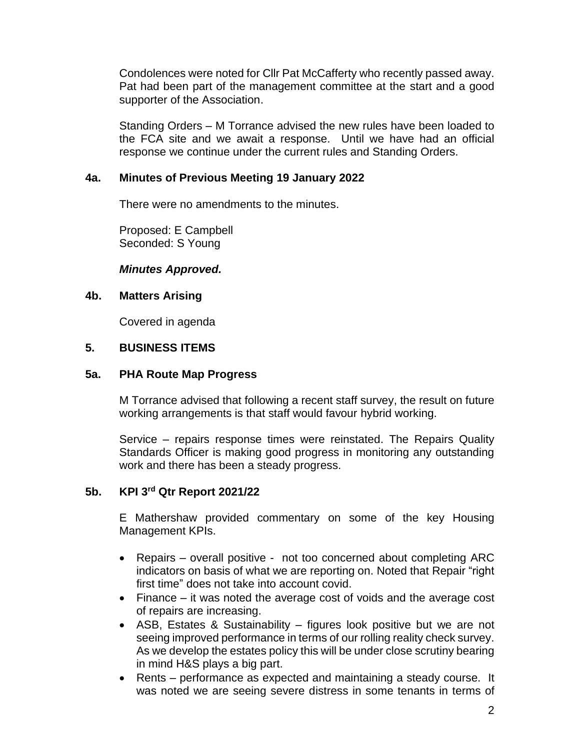Condolences were noted for Cllr Pat McCafferty who recently passed away. Pat had been part of the management committee at the start and a good supporter of the Association.

Standing Orders – M Torrance advised the new rules have been loaded to the FCA site and we await a response. Until we have had an official response we continue under the current rules and Standing Orders.

## **4a. Minutes of Previous Meeting 19 January 2022**

There were no amendments to the minutes.

Proposed: E Campbell Seconded: S Young

#### *Minutes Approved.*

#### **4b. Matters Arising**

Covered in agenda

#### **5. BUSINESS ITEMS**

#### **5a. PHA Route Map Progress**

M Torrance advised that following a recent staff survey, the result on future working arrangements is that staff would favour hybrid working.

Service – repairs response times were reinstated. The Repairs Quality Standards Officer is making good progress in monitoring any outstanding work and there has been a steady progress.

#### **5b. KPI 3rd Qtr Report 2021/22**

E Mathershaw provided commentary on some of the key Housing Management KPIs.

- Repairs overall positive not too concerned about completing ARC indicators on basis of what we are reporting on. Noted that Repair "right first time" does not take into account covid.
- Finance it was noted the average cost of voids and the average cost of repairs are increasing.
- ASB, Estates & Sustainability figures look positive but we are not seeing improved performance in terms of our rolling reality check survey. As we develop the estates policy this will be under close scrutiny bearing in mind H&S plays a big part.
- Rents performance as expected and maintaining a steady course. It was noted we are seeing severe distress in some tenants in terms of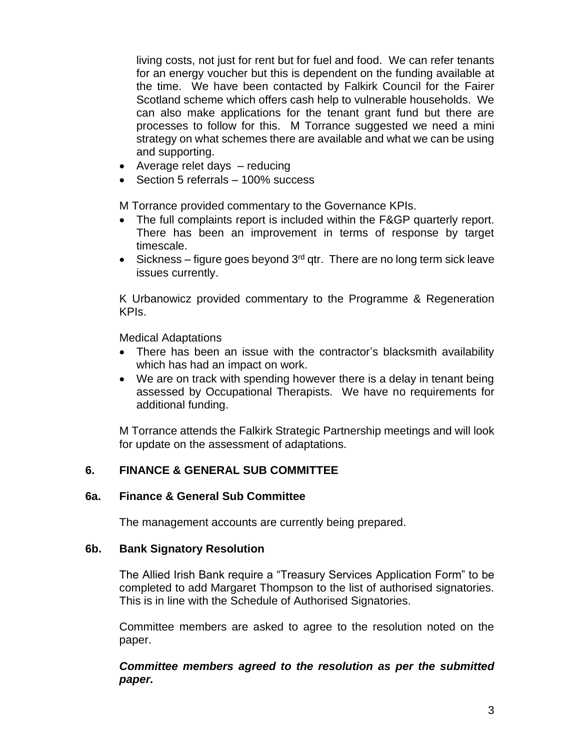living costs, not just for rent but for fuel and food. We can refer tenants for an energy voucher but this is dependent on the funding available at the time. We have been contacted by Falkirk Council for the Fairer Scotland scheme which offers cash help to vulnerable households. We can also make applications for the tenant grant fund but there are processes to follow for this. M Torrance suggested we need a mini strategy on what schemes there are available and what we can be using and supporting.

- Average relet days reducing
- Section 5 referrals 100% success

M Torrance provided commentary to the Governance KPIs.

- The full complaints report is included within the F&GP quarterly report. There has been an improvement in terms of response by target timescale.
- Sickness figure goes beyond  $3<sup>rd</sup>$  qtr. There are no long term sick leave issues currently.

K Urbanowicz provided commentary to the Programme & Regeneration KPIs.

Medical Adaptations

- There has been an issue with the contractor's blacksmith availability which has had an impact on work.
- We are on track with spending however there is a delay in tenant being assessed by Occupational Therapists. We have no requirements for additional funding.

M Torrance attends the Falkirk Strategic Partnership meetings and will look for update on the assessment of adaptations.

## **6. FINANCE & GENERAL SUB COMMITTEE**

#### **6a. Finance & General Sub Committee**

The management accounts are currently being prepared.

#### **6b. Bank Signatory Resolution**

The Allied Irish Bank require a "Treasury Services Application Form" to be completed to add Margaret Thompson to the list of authorised signatories. This is in line with the Schedule of Authorised Signatories.

Committee members are asked to agree to the resolution noted on the paper.

*Committee members agreed to the resolution as per the submitted paper.*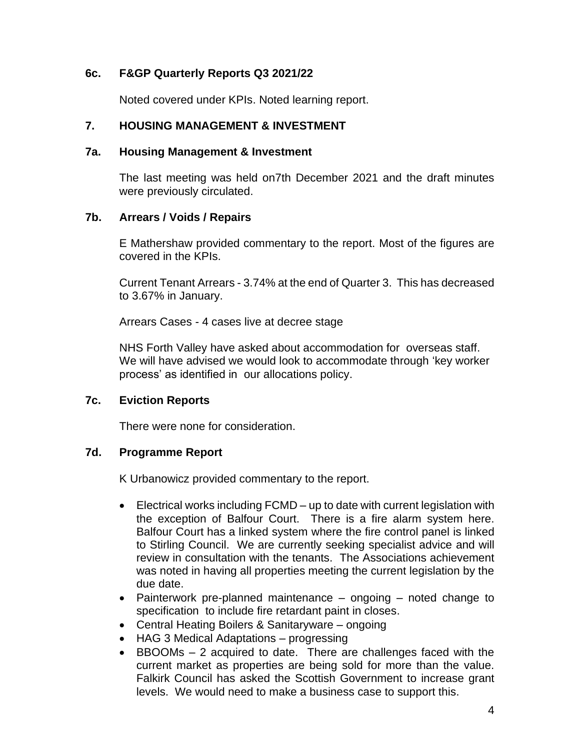## **6c. F&GP Quarterly Reports Q3 2021/22**

Noted covered under KPIs. Noted learning report.

#### **7. HOUSING MANAGEMENT & INVESTMENT**

#### **7a. Housing Management & Investment**

The last meeting was held on7th December 2021 and the draft minutes were previously circulated.

#### **7b. Arrears / Voids / Repairs**

E Mathershaw provided commentary to the report. Most of the figures are covered in the KPIs.

Current Tenant Arrears - 3.74% at the end of Quarter 3. This has decreased to 3.67% in January.

Arrears Cases - 4 cases live at decree stage

NHS Forth Valley have asked about accommodation for overseas staff. We will have advised we would look to accommodate through 'key worker process' as identified in our allocations policy.

#### **7c. Eviction Reports**

There were none for consideration.

#### **7d. Programme Report**

K Urbanowicz provided commentary to the report.

- Electrical works including FCMD up to date with current legislation with the exception of Balfour Court. There is a fire alarm system here. Balfour Court has a linked system where the fire control panel is linked to Stirling Council. We are currently seeking specialist advice and will review in consultation with the tenants. The Associations achievement was noted in having all properties meeting the current legislation by the due date.
- Painterwork pre-planned maintenance ongoing noted change to specification to include fire retardant paint in closes.
- Central Heating Boilers & Sanitaryware ongoing
- HAG 3 Medical Adaptations progressing
- BBOOMs 2 acquired to date. There are challenges faced with the current market as properties are being sold for more than the value. Falkirk Council has asked the Scottish Government to increase grant levels. We would need to make a business case to support this.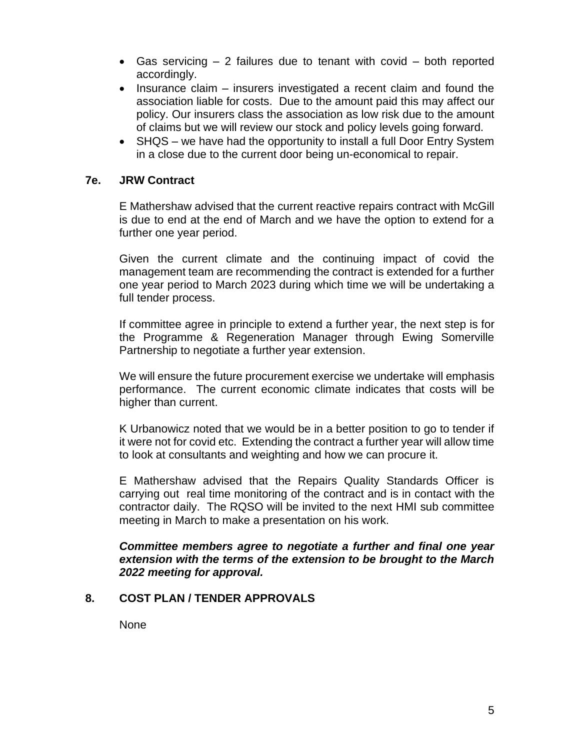- Gas servicing 2 failures due to tenant with covid both reported accordingly.
- Insurance claim insurers investigated a recent claim and found the association liable for costs. Due to the amount paid this may affect our policy. Our insurers class the association as low risk due to the amount of claims but we will review our stock and policy levels going forward.
- SHQS we have had the opportunity to install a full Door Entry System in a close due to the current door being un-economical to repair.

#### **7e. JRW Contract**

E Mathershaw advised that the current reactive repairs contract with McGill is due to end at the end of March and we have the option to extend for a further one year period.

Given the current climate and the continuing impact of covid the management team are recommending the contract is extended for a further one year period to March 2023 during which time we will be undertaking a full tender process.

If committee agree in principle to extend a further year, the next step is for the Programme & Regeneration Manager through Ewing Somerville Partnership to negotiate a further year extension.

We will ensure the future procurement exercise we undertake will emphasis performance. The current economic climate indicates that costs will be higher than current.

K Urbanowicz noted that we would be in a better position to go to tender if it were not for covid etc. Extending the contract a further year will allow time to look at consultants and weighting and how we can procure it.

E Mathershaw advised that the Repairs Quality Standards Officer is carrying out real time monitoring of the contract and is in contact with the contractor daily. The RQSO will be invited to the next HMI sub committee meeting in March to make a presentation on his work.

*Committee members agree to negotiate a further and final one year extension with the terms of the extension to be brought to the March 2022 meeting for approval.*

## **8. COST PLAN / TENDER APPROVALS**

**None**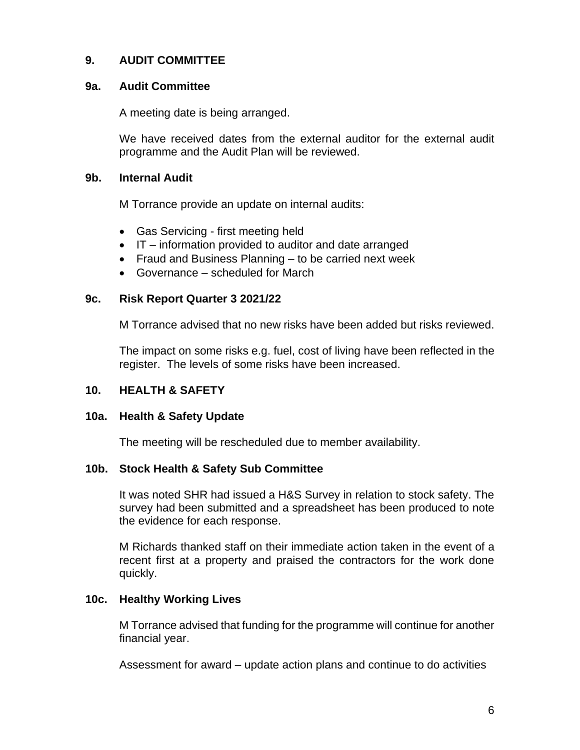## **9. AUDIT COMMITTEE**

#### **9a. Audit Committee**

A meeting date is being arranged.

We have received dates from the external auditor for the external audit programme and the Audit Plan will be reviewed.

#### **9b. Internal Audit**

M Torrance provide an update on internal audits:

- Gas Servicing first meeting held
- IT information provided to auditor and date arranged
- Fraud and Business Planning to be carried next week
- Governance scheduled for March

#### **9c. Risk Report Quarter 3 2021/22**

M Torrance advised that no new risks have been added but risks reviewed.

The impact on some risks e.g. fuel, cost of living have been reflected in the register. The levels of some risks have been increased.

## **10. HEALTH & SAFETY**

## **10a. Health & Safety Update**

The meeting will be rescheduled due to member availability.

## **10b. Stock Health & Safety Sub Committee**

It was noted SHR had issued a H&S Survey in relation to stock safety. The survey had been submitted and a spreadsheet has been produced to note the evidence for each response.

M Richards thanked staff on their immediate action taken in the event of a recent first at a property and praised the contractors for the work done quickly.

## **10c. Healthy Working Lives**

M Torrance advised that funding for the programme will continue for another financial year.

Assessment for award – update action plans and continue to do activities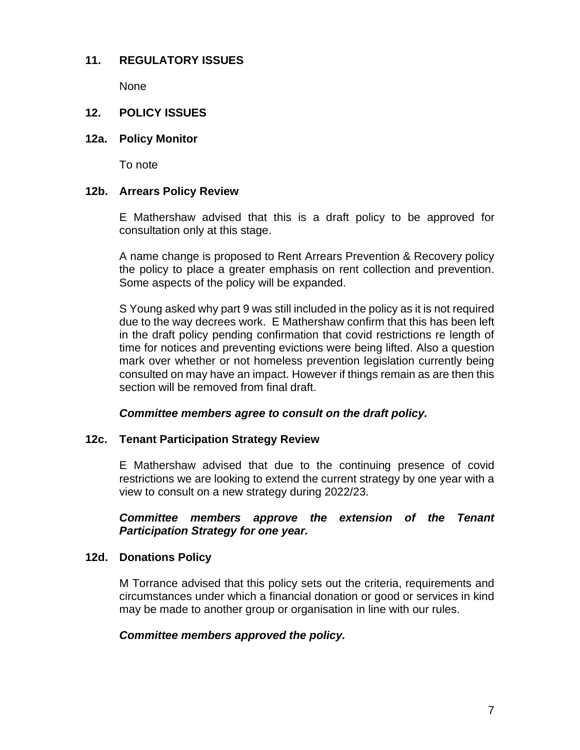## **11. REGULATORY ISSUES**

None

## **12. POLICY ISSUES**

#### **12a. Policy Monitor**

To note

## **12b. Arrears Policy Review**

E Mathershaw advised that this is a draft policy to be approved for consultation only at this stage.

A name change is proposed to Rent Arrears Prevention & Recovery policy the policy to place a greater emphasis on rent collection and prevention. Some aspects of the policy will be expanded.

S Young asked why part 9 was still included in the policy as it is not required due to the way decrees work. E Mathershaw confirm that this has been left in the draft policy pending confirmation that covid restrictions re length of time for notices and preventing evictions were being lifted. Also a question mark over whether or not homeless prevention legislation currently being consulted on may have an impact. However if things remain as are then this section will be removed from final draft.

#### *Committee members agree to consult on the draft policy.*

## **12c. Tenant Participation Strategy Review**

E Mathershaw advised that due to the continuing presence of covid restrictions we are looking to extend the current strategy by one year with a view to consult on a new strategy during 2022/23.

## *Committee members approve the extension of the Tenant Participation Strategy for one year.*

## **12d. Donations Policy**

M Torrance advised that this policy sets out the criteria, requirements and circumstances under which a financial donation or good or services in kind may be made to another group or organisation in line with our rules.

## *Committee members approved the policy.*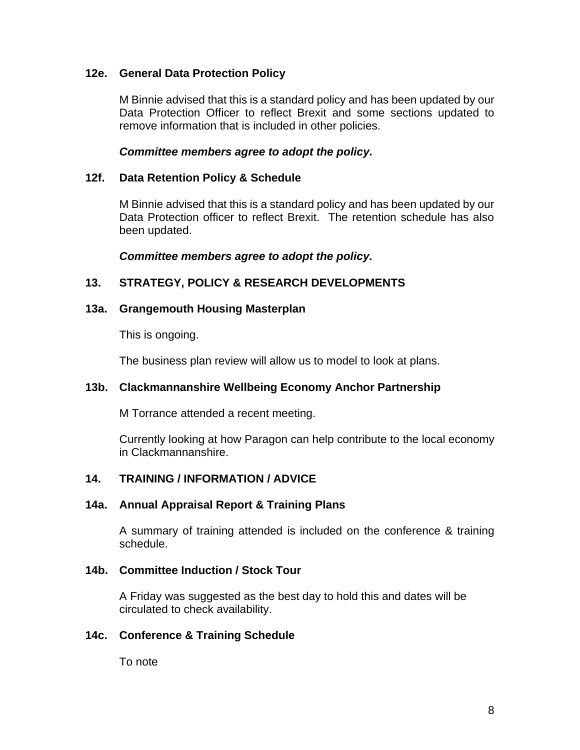## **12e. General Data Protection Policy**

M Binnie advised that this is a standard policy and has been updated by our Data Protection Officer to reflect Brexit and some sections updated to remove information that is included in other policies.

#### *Committee members agree to adopt the policy.*

#### **12f. Data Retention Policy & Schedule**

M Binnie advised that this is a standard policy and has been updated by our Data Protection officer to reflect Brexit. The retention schedule has also been updated.

*Committee members agree to adopt the policy.*

#### **13. STRATEGY, POLICY & RESEARCH DEVELOPMENTS**

#### **13a. Grangemouth Housing Masterplan**

This is ongoing.

The business plan review will allow us to model to look at plans.

## **13b. Clackmannanshire Wellbeing Economy Anchor Partnership**

M Torrance attended a recent meeting.

Currently looking at how Paragon can help contribute to the local economy in Clackmannanshire.

## **14. TRAINING / INFORMATION / ADVICE**

#### **14a. Annual Appraisal Report & Training Plans**

A summary of training attended is included on the conference & training schedule.

#### **14b. Committee Induction / Stock Tour**

A Friday was suggested as the best day to hold this and dates will be circulated to check availability.

#### **14c. Conference & Training Schedule**

To note